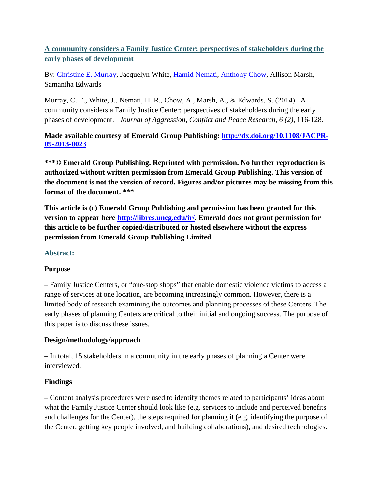# **A community considers a Family Justice Center: perspectives of stakeholders during the early phases of development**

By: [Christine E. Murray,](http://libres.uncg.edu/ir/uncg/clist.aspx?id=894) Jacquelyn White, [Hamid Nemati,](http://libres.uncg.edu/ir/uncg/clist.aspx?id=884) [Anthony Chow,](http://libres.uncg.edu/ir/uncg/clist.aspx?id=904) Allison Marsh, Samantha Edwards

Murray, C. E., White, J., Nemati, H. R., Chow, A., Marsh, A.*, &* Edwards, S. (2014). A community considers a Family Justice Center: perspectives of stakeholders during the early phases of development. *Journal of Aggression, Conflict and Peace Research, 6 (2)*, 116-128.

## **Made available courtesy of Emerald Group Publishing: [http://dx.doi.org/10.1108/JACPR-](http://dx.doi.org/10.1108/JACPR-09-2013-0023)[09-2013-0023](http://dx.doi.org/10.1108/JACPR-09-2013-0023)**

**\*\*\*© Emerald Group Publishing. Reprinted with permission. No further reproduction is authorized without written permission from Emerald Group Publishing. This version of the document is not the version of record. Figures and/or pictures may be missing from this format of the document. \*\*\***

**This article is (c) Emerald Group Publishing and permission has been granted for this version to appear here [http://libres.uncg.edu/ir/.](http://libres.uncg.edu/ir/) Emerald does not grant permission for this article to be further copied/distributed or hosted elsewhere without the express permission from Emerald Group Publishing Limited**

## **Abstract:**

## **Purpose**

– Family Justice Centers, or "one-stop shops" that enable domestic violence victims to access a range of services at one location, are becoming increasingly common. However, there is a limited body of research examining the outcomes and planning processes of these Centers. The early phases of planning Centers are critical to their initial and ongoing success. The purpose of this paper is to discuss these issues.

## **Design/methodology/approach**

– In total, 15 stakeholders in a community in the early phases of planning a Center were interviewed.

# **Findings**

– Content analysis procedures were used to identify themes related to participants' ideas about what the Family Justice Center should look like (e.g. services to include and perceived benefits and challenges for the Center), the steps required for planning it (e.g. identifying the purpose of the Center, getting key people involved, and building collaborations), and desired technologies.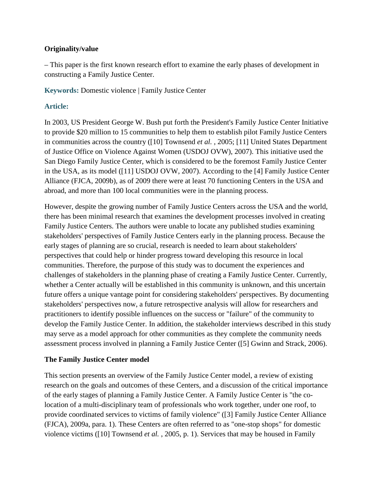## **Originality/value**

– This paper is the first known research effort to examine the early phases of development in constructing a Family Justice Center.

**Keywords:** Domestic violence | Family Justice Center

# **Article:**

In 2003, US President George W. Bush put forth the President's Family Justice Center Initiative to provide \$20 million to 15 communities to help them to establish pilot Family Justice Centers in communities across the country ([10] Townsend *et al.* , 2005; [11] United States Department of Justice Office on Violence Against Women (USDOJ OVW), 2007). This initiative used the San Diego Family Justice Center, which is considered to be the foremost Family Justice Center in the USA, as its model ([11] USDOJ OVW, 2007). According to the [4] Family Justice Center Alliance (FJCA, 2009b), as of 2009 there were at least 70 functioning Centers in the USA and abroad, and more than 100 local communities were in the planning process.

However, despite the growing number of Family Justice Centers across the USA and the world, there has been minimal research that examines the development processes involved in creating Family Justice Centers. The authors were unable to locate any published studies examining stakeholders' perspectives of Family Justice Centers early in the planning process. Because the early stages of planning are so crucial, research is needed to learn about stakeholders' perspectives that could help or hinder progress toward developing this resource in local communities. Therefore, the purpose of this study was to document the experiences and challenges of stakeholders in the planning phase of creating a Family Justice Center. Currently, whether a Center actually will be established in this community is unknown, and this uncertain future offers a unique vantage point for considering stakeholders' perspectives. By documenting stakeholders' perspectives now, a future retrospective analysis will allow for researchers and practitioners to identify possible influences on the success or "failure" of the community to develop the Family Justice Center. In addition, the stakeholder interviews described in this study may serve as a model approach for other communities as they complete the community needs assessment process involved in planning a Family Justice Center ([5] Gwinn and Strack, 2006).

## **The Family Justice Center model**

This section presents an overview of the Family Justice Center model, a review of existing research on the goals and outcomes of these Centers, and a discussion of the critical importance of the early stages of planning a Family Justice Center. A Family Justice Center is "the colocation of a multi-disciplinary team of professionals who work together, under one roof, to provide coordinated services to victims of family violence" ([3] Family Justice Center Alliance (FJCA), 2009a, para. 1). These Centers are often referred to as "one-stop shops" for domestic violence victims ([10] Townsend *et al.* , 2005, p. 1). Services that may be housed in Family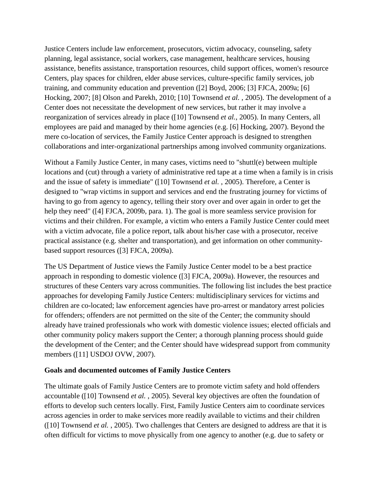Justice Centers include law enforcement, prosecutors, victim advocacy, counseling, safety planning, legal assistance, social workers, case management, healthcare services, housing assistance, benefits assistance, transportation resources, child support offices, women's resource Centers, play spaces for children, elder abuse services, culture-specific family services, job training, and community education and prevention ([2] Boyd, 2006; [3] FJCA, 2009a; [6] Hocking, 2007; [8] Olson and Parekh, 2010; [10] Townsend *et al.* , 2005). The development of a Center does not necessitate the development of new services, but rather it may involve a reorganization of services already in place ([10] Townsend *et al.*, 2005). In many Centers, all employees are paid and managed by their home agencies (e.g. [6] Hocking, 2007). Beyond the mere co-location of services, the Family Justice Center approach is designed to strengthen collaborations and inter-organizational partnerships among involved community organizations.

Without a Family Justice Center, in many cases, victims need to "shuttl(e) between multiple locations and (cut) through a variety of administrative red tape at a time when a family is in crisis and the issue of safety is immediate" ([10] Townsend *et al.* , 2005). Therefore, a Center is designed to "wrap victims in support and services and end the frustrating journey for victims of having to go from agency to agency, telling their story over and over again in order to get the help they need" ([4] FJCA, 2009b, para. 1). The goal is more seamless service provision for victims and their children. For example, a victim who enters a Family Justice Center could meet with a victim advocate, file a police report, talk about his/her case with a prosecutor, receive practical assistance (e.g. shelter and transportation), and get information on other communitybased support resources ([3] FJCA, 2009a).

The US Department of Justice views the Family Justice Center model to be a best practice approach in responding to domestic violence ([3] FJCA, 2009a). However, the resources and structures of these Centers vary across communities. The following list includes the best practice approaches for developing Family Justice Centers: multidisciplinary services for victims and children are co-located; law enforcement agencies have pro-arrest or mandatory arrest policies for offenders; offenders are not permitted on the site of the Center; the community should already have trained professionals who work with domestic violence issues; elected officials and other community policy makers support the Center; a thorough planning process should guide the development of the Center; and the Center should have widespread support from community members ([11] USDOJ OVW, 2007).

## **Goals and documented outcomes of Family Justice Centers**

The ultimate goals of Family Justice Centers are to promote victim safety and hold offenders accountable ([10] Townsend *et al.* , 2005). Several key objectives are often the foundation of efforts to develop such centers locally. First, Family Justice Centers aim to coordinate services across agencies in order to make services more readily available to victims and their children ([10] Townsend *et al.* , 2005). Two challenges that Centers are designed to address are that it is often difficult for victims to move physically from one agency to another (e.g. due to safety or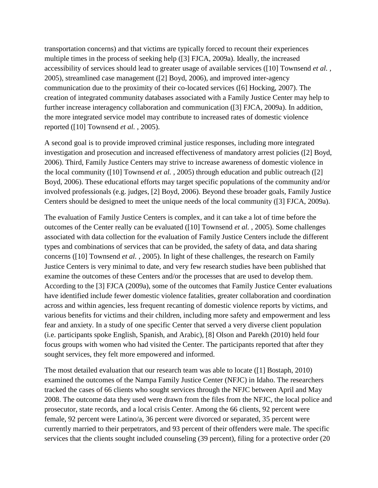transportation concerns) and that victims are typically forced to recount their experiences multiple times in the process of seeking help ([3] FJCA, 2009a). Ideally, the increased accessibility of services should lead to greater usage of available services ([10] Townsend *et al.* , 2005), streamlined case management ([2] Boyd, 2006), and improved inter-agency communication due to the proximity of their co-located services ([6] Hocking, 2007). The creation of integrated community databases associated with a Family Justice Center may help to further increase interagency collaboration and communication ([3] FJCA, 2009a). In addition, the more integrated service model may contribute to increased rates of domestic violence reported ([10] Townsend *et al.* , 2005).

A second goal is to provide improved criminal justice responses, including more integrated investigation and prosecution and increased effectiveness of mandatory arrest policies ([2] Boyd, 2006). Third, Family Justice Centers may strive to increase awareness of domestic violence in the local community ([10] Townsend *et al.* , 2005) through education and public outreach ([2] Boyd, 2006). These educational efforts may target specific populations of the community and/or involved professionals (e.g. judges, [2] Boyd, 2006). Beyond these broader goals, Family Justice Centers should be designed to meet the unique needs of the local community ([3] FJCA, 2009a).

The evaluation of Family Justice Centers is complex, and it can take a lot of time before the outcomes of the Center really can be evaluated ([10] Townsend *et al.* , 2005). Some challenges associated with data collection for the evaluation of Family Justice Centers include the different types and combinations of services that can be provided, the safety of data, and data sharing concerns ([10] Townsend *et al.* , 2005). In light of these challenges, the research on Family Justice Centers is very minimal to date, and very few research studies have been published that examine the outcomes of these Centers and/or the processes that are used to develop them. According to the [3] FJCA (2009a), some of the outcomes that Family Justice Center evaluations have identified include fewer domestic violence fatalities, greater collaboration and coordination across and within agencies, less frequent recanting of domestic violence reports by victims, and various benefits for victims and their children, including more safety and empowerment and less fear and anxiety. In a study of one specific Center that served a very diverse client population (i.e. participants spoke English, Spanish, and Arabic), [8] Olson and Parekh (2010) held four focus groups with women who had visited the Center. The participants reported that after they sought services, they felt more empowered and informed.

The most detailed evaluation that our research team was able to locate ([1] Bostaph, 2010) examined the outcomes of the Nampa Family Justice Center (NFJC) in Idaho. The researchers tracked the cases of 66 clients who sought services through the NFJC between April and May 2008. The outcome data they used were drawn from the files from the NFJC, the local police and prosecutor, state records, and a local crisis Center. Among the 66 clients, 92 percent were female, 92 percent were Latino/a, 36 percent were divorced or separated, 35 percent were currently married to their perpetrators, and 93 percent of their offenders were male. The specific services that the clients sought included counseling (39 percent), filing for a protective order (20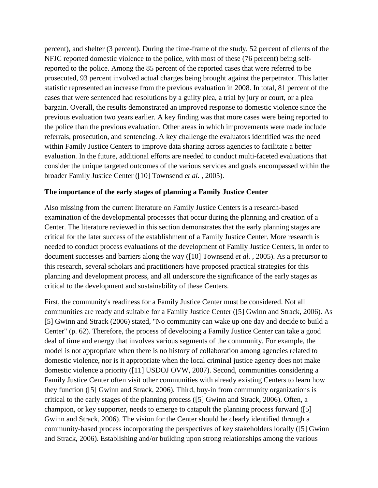percent), and shelter (3 percent). During the time-frame of the study, 52 percent of clients of the NFJC reported domestic violence to the police, with most of these (76 percent) being selfreported to the police. Among the 85 percent of the reported cases that were referred to be prosecuted, 93 percent involved actual charges being brought against the perpetrator. This latter statistic represented an increase from the previous evaluation in 2008. In total, 81 percent of the cases that were sentenced had resolutions by a guilty plea, a trial by jury or court, or a plea bargain. Overall, the results demonstrated an improved response to domestic violence since the previous evaluation two years earlier. A key finding was that more cases were being reported to the police than the previous evaluation. Other areas in which improvements were made include referrals, prosecution, and sentencing. A key challenge the evaluators identified was the need within Family Justice Centers to improve data sharing across agencies to facilitate a better evaluation. In the future, additional efforts are needed to conduct multi-faceted evaluations that consider the unique targeted outcomes of the various services and goals encompassed within the broader Family Justice Center ([10] Townsend *et al.* , 2005).

#### **The importance of the early stages of planning a Family Justice Center**

Also missing from the current literature on Family Justice Centers is a research-based examination of the developmental processes that occur during the planning and creation of a Center. The literature reviewed in this section demonstrates that the early planning stages are critical for the later success of the establishment of a Family Justice Center. More research is needed to conduct process evaluations of the development of Family Justice Centers, in order to document successes and barriers along the way ([10] Townsend *et al.* , 2005). As a precursor to this research, several scholars and practitioners have proposed practical strategies for this planning and development process, and all underscore the significance of the early stages as critical to the development and sustainability of these Centers.

First, the community's readiness for a Family Justice Center must be considered. Not all communities are ready and suitable for a Family Justice Center ([5] Gwinn and Strack, 2006). As [5] Gwinn and Strack (2006) stated, "No community can wake up one day and decide to build a Center" (p. 62). Therefore, the process of developing a Family Justice Center can take a good deal of time and energy that involves various segments of the community. For example, the model is not appropriate when there is no history of collaboration among agencies related to domestic violence, nor is it appropriate when the local criminal justice agency does not make domestic violence a priority ([11] USDOJ OVW, 2007). Second, communities considering a Family Justice Center often visit other communities with already existing Centers to learn how they function ([5] Gwinn and Strack, 2006). Third, buy-in from community organizations is critical to the early stages of the planning process ([5] Gwinn and Strack, 2006). Often, a champion, or key supporter, needs to emerge to catapult the planning process forward ([5] Gwinn and Strack, 2006). The vision for the Center should be clearly identified through a community-based process incorporating the perspectives of key stakeholders locally ([5] Gwinn and Strack, 2006). Establishing and/or building upon strong relationships among the various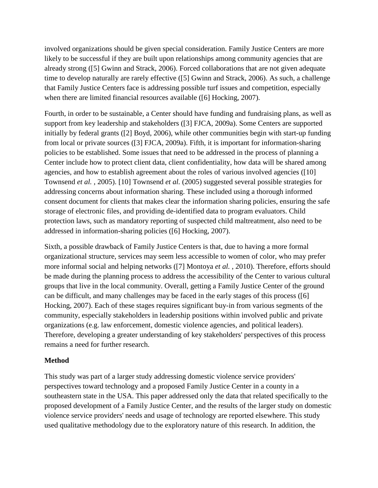involved organizations should be given special consideration. Family Justice Centers are more likely to be successful if they are built upon relationships among community agencies that are already strong ([5] Gwinn and Strack, 2006). Forced collaborations that are not given adequate time to develop naturally are rarely effective ([5] Gwinn and Strack, 2006). As such, a challenge that Family Justice Centers face is addressing possible turf issues and competition, especially when there are limited financial resources available ([6] Hocking, 2007).

Fourth, in order to be sustainable, a Center should have funding and fundraising plans, as well as support from key leadership and stakeholders ([3] FJCA, 2009a). Some Centers are supported initially by federal grants ([2] Boyd, 2006), while other communities begin with start-up funding from local or private sources ([3] FJCA, 2009a). Fifth, it is important for information-sharing policies to be established. Some issues that need to be addressed in the process of planning a Center include how to protect client data, client confidentiality, how data will be shared among agencies, and how to establish agreement about the roles of various involved agencies ([10] Townsend *et al.* , 2005). [10] Townsend *et al.* (2005) suggested several possible strategies for addressing concerns about information sharing. These included using a thorough informed consent document for clients that makes clear the information sharing policies, ensuring the safe storage of electronic files, and providing de-identified data to program evaluators. Child protection laws, such as mandatory reporting of suspected child maltreatment, also need to be addressed in information-sharing policies ([6] Hocking, 2007).

Sixth, a possible drawback of Family Justice Centers is that, due to having a more formal organizational structure, services may seem less accessible to women of color, who may prefer more informal social and helping networks ([7] Montoya *et al.* , 2010). Therefore, efforts should be made during the planning process to address the accessibility of the Center to various cultural groups that live in the local community. Overall, getting a Family Justice Center of the ground can be difficult, and many challenges may be faced in the early stages of this process ([6] Hocking, 2007). Each of these stages requires significant buy-in from various segments of the community, especially stakeholders in leadership positions within involved public and private organizations (e.g. law enforcement, domestic violence agencies, and political leaders). Therefore, developing a greater understanding of key stakeholders' perspectives of this process remains a need for further research.

## **Method**

This study was part of a larger study addressing domestic violence service providers' perspectives toward technology and a proposed Family Justice Center in a county in a southeastern state in the USA. This paper addressed only the data that related specifically to the proposed development of a Family Justice Center, and the results of the larger study on domestic violence service providers' needs and usage of technology are reported elsewhere. This study used qualitative methodology due to the exploratory nature of this research. In addition, the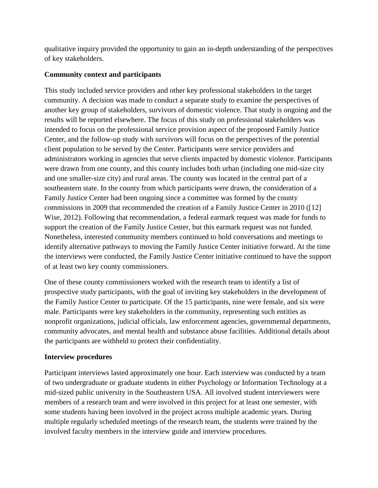qualitative inquiry provided the opportunity to gain an in-depth understanding of the perspectives of key stakeholders.

## **Community context and participants**

This study included service providers and other key professional stakeholders in the target community. A decision was made to conduct a separate study to examine the perspectives of another key group of stakeholders, survivors of domestic violence. That study is ongoing and the results will be reported elsewhere. The focus of this study on professional stakeholders was intended to focus on the professional service provision aspect of the proposed Family Justice Center, and the follow-up study with survivors will focus on the perspectives of the potential client population to be served by the Center. Participants were service providers and administrators working in agencies that serve clients impacted by domestic violence. Participants were drawn from one county, and this county includes both urban (including one mid-size city and one smaller-size city) and rural areas. The county was located in the central part of a southeastern state. In the county from which participants were drawn, the consideration of a Family Justice Center had been ongoing since a committee was formed by the county commissions in 2009 that recommended the creation of a Family Justice Center in 2010 ([12] Wise, 2012). Following that recommendation, a federal earmark request was made for funds to support the creation of the Family Justice Center, but this earmark request was not funded. Nonetheless, interested community members continued to hold conversations and meetings to identify alternative pathways to moving the Family Justice Center initiative forward. At the time the interviews were conducted, the Family Justice Center initiative continued to have the support of at least two key county commissioners.

One of these county commissioners worked with the research team to identify a list of prospective study participants, with the goal of inviting key stakeholders in the development of the Family Justice Center to participate. Of the 15 participants, nine were female, and six were male. Participants were key stakeholders in the community, representing such entities as nonprofit organizations, judicial officials, law enforcement agencies, governmental departments, community advocates, and mental health and substance abuse facilities. Additional details about the participants are withheld to protect their confidentiality.

# **Interview procedures**

Participant interviews lasted approximately one hour. Each interview was conducted by a team of two undergraduate or graduate students in either Psychology or Information Technology at a mid-sized public university in the Southeastern USA. All involved student interviewers were members of a research team and were involved in this project for at least one semester, with some students having been involved in the project across multiple academic years. During multiple regularly scheduled meetings of the research team, the students were trained by the involved faculty members in the interview guide and interview procedures.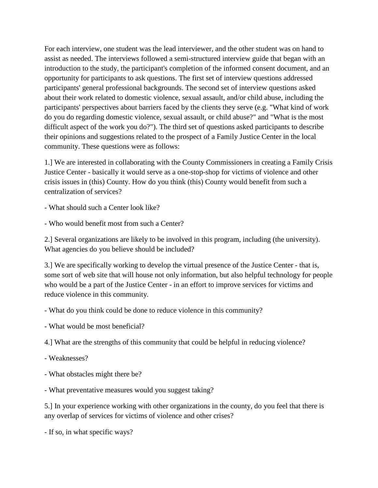For each interview, one student was the lead interviewer, and the other student was on hand to assist as needed. The interviews followed a semi-structured interview guide that began with an introduction to the study, the participant's completion of the informed consent document, and an opportunity for participants to ask questions. The first set of interview questions addressed participants' general professional backgrounds. The second set of interview questions asked about their work related to domestic violence, sexual assault, and/or child abuse, including the participants' perspectives about barriers faced by the clients they serve (e.g. "What kind of work do you do regarding domestic violence, sexual assault, or child abuse?" and "What is the most difficult aspect of the work you do?"). The third set of questions asked participants to describe their opinions and suggestions related to the prospect of a Family Justice Center in the local community. These questions were as follows:

1.] We are interested in collaborating with the County Commissioners in creating a Family Crisis Justice Center - basically it would serve as a one-stop-shop for victims of violence and other crisis issues in (this) County. How do you think (this) County would benefit from such a centralization of services?

- What should such a Center look like?

- Who would benefit most from such a Center?

2.] Several organizations are likely to be involved in this program, including (the university). What agencies do you believe should be included?

3.] We are specifically working to develop the virtual presence of the Justice Center - that is, some sort of web site that will house not only information, but also helpful technology for people who would be a part of the Justice Center - in an effort to improve services for victims and reduce violence in this community.

- What do you think could be done to reduce violence in this community?

- What would be most beneficial?

4.] What are the strengths of this community that could be helpful in reducing violence?

- Weaknesses?

- What obstacles might there be?

- What preventative measures would you suggest taking?

5.] In your experience working with other organizations in the county, do you feel that there is any overlap of services for victims of violence and other crises?

- If so, in what specific ways?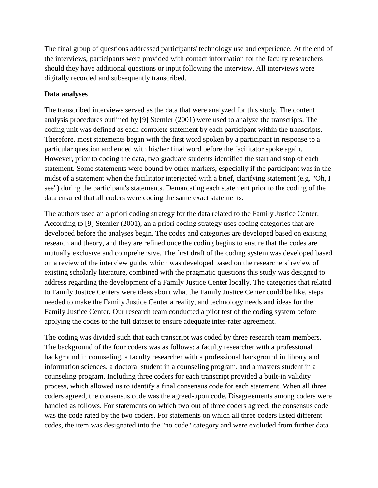The final group of questions addressed participants' technology use and experience. At the end of the interviews, participants were provided with contact information for the faculty researchers should they have additional questions or input following the interview. All interviews were digitally recorded and subsequently transcribed.

## **Data analyses**

The transcribed interviews served as the data that were analyzed for this study. The content analysis procedures outlined by [9] Stemler (2001) were used to analyze the transcripts. The coding unit was defined as each complete statement by each participant within the transcripts. Therefore, most statements began with the first word spoken by a participant in response to a particular question and ended with his/her final word before the facilitator spoke again. However, prior to coding the data, two graduate students identified the start and stop of each statement. Some statements were bound by other markers, especially if the participant was in the midst of a statement when the facilitator interjected with a brief, clarifying statement (e.g. "Oh, I see") during the participant's statements. Demarcating each statement prior to the coding of the data ensured that all coders were coding the same exact statements.

The authors used an a priori coding strategy for the data related to the Family Justice Center. According to [9] Stemler (2001), an a priori coding strategy uses coding categories that are developed before the analyses begin. The codes and categories are developed based on existing research and theory, and they are refined once the coding begins to ensure that the codes are mutually exclusive and comprehensive. The first draft of the coding system was developed based on a review of the interview guide, which was developed based on the researchers' review of existing scholarly literature, combined with the pragmatic questions this study was designed to address regarding the development of a Family Justice Center locally. The categories that related to Family Justice Centers were ideas about what the Family Justice Center could be like, steps needed to make the Family Justice Center a reality, and technology needs and ideas for the Family Justice Center. Our research team conducted a pilot test of the coding system before applying the codes to the full dataset to ensure adequate inter-rater agreement.

The coding was divided such that each transcript was coded by three research team members. The background of the four coders was as follows: a faculty researcher with a professional background in counseling, a faculty researcher with a professional background in library and information sciences, a doctoral student in a counseling program, and a masters student in a counseling program. Including three coders for each transcript provided a built-in validity process, which allowed us to identify a final consensus code for each statement. When all three coders agreed, the consensus code was the agreed-upon code. Disagreements among coders were handled as follows. For statements on which two out of three coders agreed, the consensus code was the code rated by the two coders. For statements on which all three coders listed different codes, the item was designated into the "no code" category and were excluded from further data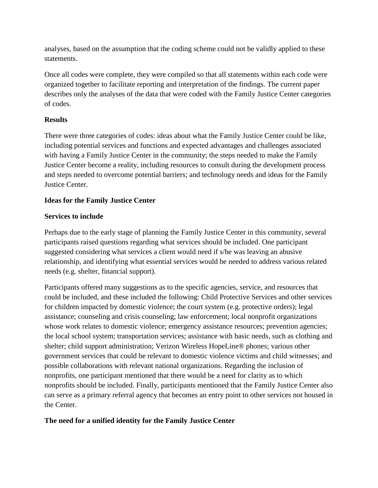analyses, based on the assumption that the coding scheme could not be validly applied to these statements.

Once all codes were complete, they were compiled so that all statements within each code were organized together to facilitate reporting and interpretation of the findings. The current paper describes only the analyses of the data that were coded with the Family Justice Center categories of codes.

## **Results**

There were three categories of codes: ideas about what the Family Justice Center could be like, including potential services and functions and expected advantages and challenges associated with having a Family Justice Center in the community; the steps needed to make the Family Justice Center become a reality, including resources to consult during the development process and steps needed to overcome potential barriers; and technology needs and ideas for the Family Justice Center.

## **Ideas for the Family Justice Center**

## **Services to include**

Perhaps due to the early stage of planning the Family Justice Center in this community, several participants raised questions regarding what services should be included. One participant suggested considering what services a client would need if s/he was leaving an abusive relationship, and identifying what essential services would be needed to address various related needs (e.g. shelter, financial support).

Participants offered many suggestions as to the specific agencies, service, and resources that could be included, and these included the following: Child Protective Services and other services for children impacted by domestic violence; the court system (e.g. protective orders); legal assistance; counseling and crisis counseling; law enforcement; local nonprofit organizations whose work relates to domestic violence; emergency assistance resources; prevention agencies; the local school system; transportation services; assistance with basic needs, such as clothing and shelter; child support administration; Verizon Wireless HopeLine® phones; various other government services that could be relevant to domestic violence victims and child witnesses; and possible collaborations with relevant national organizations. Regarding the inclusion of nonprofits, one participant mentioned that there would be a need for clarity as to which nonprofits should be included. Finally, participants mentioned that the Family Justice Center also can serve as a primary referral agency that becomes an entry point to other services not housed in the Center.

# **The need for a unified identity for the Family Justice Center**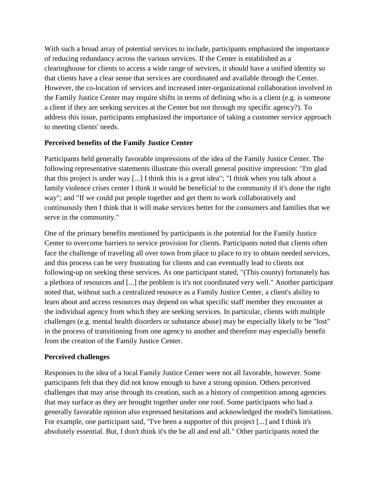With such a broad array of potential services to include, participants emphasized the importance of reducing redundancy across the various services. If the Center is established as a clearinghouse for clients to access a wide range of services, it should have a unified identity so that clients have a clear sense that services are coordinated and available through the Center. However, the co-location of services and increased inter-organizational collaboration involved in the Family Justice Center may require shifts in terms of defining who is a client (e.g. is someone a client if they are seeking services at the Center but not through my specific agency?). To address this issue, participants emphasized the importance of taking a customer service approach to meeting clients' needs.

## **Perceived benefits of the Family Justice Center**

Participants held generally favorable impressions of the idea of the Family Justice Center. The following representative statements illustrate this overall general positive impression: "I'm glad that this project is under way [...] I think this is a great idea"; "I think when you talk about a family violence crises center I think it would be beneficial to the community if it's done the right way"; and "If we could put people together and get them to work collaboratively and continuously then I think that it will make services better for the consumers and families that we serve in the community."

One of the primary benefits mentioned by participants is the potential for the Family Justice Center to overcome barriers to service provision for clients. Participants noted that clients often face the challenge of traveling all over town from place to place to try to obtain needed services, and this process can be very frustrating for clients and can eventually lead to clients not following-up on seeking these services. As one participant stated, "(This county) fortunately has a plethora of resources and [...] the problem is it's not coordinated very well." Another participant noted that, without such a centralized resource as a Family Justice Center, a client's ability to learn about and access resources may depend on what specific staff member they encounter at the individual agency from which they are seeking services. In particular, clients with multiple challenges (e.g. mental health disorders or substance abuse) may be especially likely to be "lost" in the process of transitioning from one agency to another and therefore may especially benefit from the creation of the Family Justice Center.

## **Perceived challenges**

Responses to the idea of a local Family Justice Center were not all favorable, however. Some participants felt that they did not know enough to have a strong opinion. Others perceived challenges that may arise through its creation, such as a history of competition among agencies that may surface as they are brought together under one roof. Some participants who had a generally favorable opinion also expressed hesitations and acknowledged the model's limitations. For example, one participant said, "I've been a supporter of this project [...] and I think it's absolutely essential. But, I don't think it's the be all and end all." Other participants noted the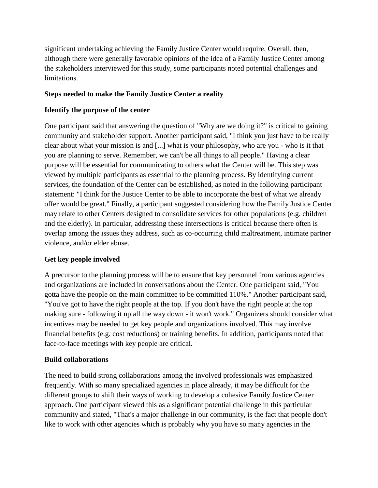significant undertaking achieving the Family Justice Center would require. Overall, then, although there were generally favorable opinions of the idea of a Family Justice Center among the stakeholders interviewed for this study, some participants noted potential challenges and limitations.

## **Steps needed to make the Family Justice Center a reality**

## **Identify the purpose of the center**

One participant said that answering the question of "Why are we doing it?" is critical to gaining community and stakeholder support. Another participant said, "I think you just have to be really clear about what your mission is and [...] what is your philosophy, who are you - who is it that you are planning to serve. Remember, we can't be all things to all people." Having a clear purpose will be essential for communicating to others what the Center will be. This step was viewed by multiple participants as essential to the planning process. By identifying current services, the foundation of the Center can be established, as noted in the following participant statement: "I think for the Justice Center to be able to incorporate the best of what we already offer would be great." Finally, a participant suggested considering how the Family Justice Center may relate to other Centers designed to consolidate services for other populations (e.g. children and the elderly). In particular, addressing these intersections is critical because there often is overlap among the issues they address, such as co-occurring child maltreatment, intimate partner violence, and/or elder abuse.

# **Get key people involved**

A precursor to the planning process will be to ensure that key personnel from various agencies and organizations are included in conversations about the Center. One participant said, "You gotta have the people on the main committee to be committed 110%." Another participant said, "You've got to have the right people at the top. If you don't have the right people at the top making sure - following it up all the way down - it won't work." Organizers should consider what incentives may be needed to get key people and organizations involved. This may involve financial benefits (e.g. cost reductions) or training benefits. In addition, participants noted that face-to-face meetings with key people are critical.

## **Build collaborations**

The need to build strong collaborations among the involved professionals was emphasized frequently. With so many specialized agencies in place already, it may be difficult for the different groups to shift their ways of working to develop a cohesive Family Justice Center approach. One participant viewed this as a significant potential challenge in this particular community and stated, "That's a major challenge in our community, is the fact that people don't like to work with other agencies which is probably why you have so many agencies in the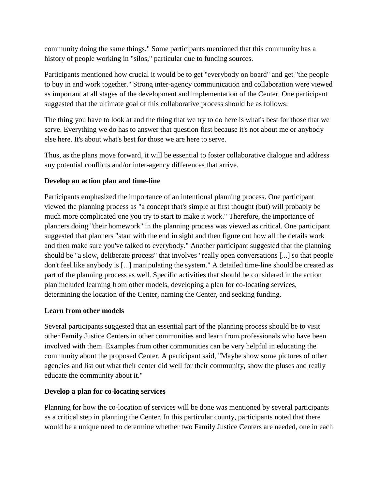community doing the same things." Some participants mentioned that this community has a history of people working in "silos," particular due to funding sources.

Participants mentioned how crucial it would be to get "everybody on board" and get "the people to buy in and work together." Strong inter-agency communication and collaboration were viewed as important at all stages of the development and implementation of the Center. One participant suggested that the ultimate goal of this collaborative process should be as follows:

The thing you have to look at and the thing that we try to do here is what's best for those that we serve. Everything we do has to answer that question first because it's not about me or anybody else here. It's about what's best for those we are here to serve.

Thus, as the plans move forward, it will be essential to foster collaborative dialogue and address any potential conflicts and/or inter-agency differences that arrive.

## **Develop an action plan and time-line**

Participants emphasized the importance of an intentional planning process. One participant viewed the planning process as "a concept that's simple at first thought (but) will probably be much more complicated one you try to start to make it work." Therefore, the importance of planners doing "their homework" in the planning process was viewed as critical. One participant suggested that planners "start with the end in sight and then figure out how all the details work and then make sure you've talked to everybody." Another participant suggested that the planning should be "a slow, deliberate process" that involves "really open conversations [...] so that people don't feel like anybody is [...] manipulating the system." A detailed time-line should be created as part of the planning process as well. Specific activities that should be considered in the action plan included learning from other models, developing a plan for co-locating services, determining the location of the Center, naming the Center, and seeking funding.

## **Learn from other models**

Several participants suggested that an essential part of the planning process should be to visit other Family Justice Centers in other communities and learn from professionals who have been involved with them. Examples from other communities can be very helpful in educating the community about the proposed Center. A participant said, "Maybe show some pictures of other agencies and list out what their center did well for their community, show the pluses and really educate the community about it."

## **Develop a plan for co-locating services**

Planning for how the co-location of services will be done was mentioned by several participants as a critical step in planning the Center. In this particular county, participants noted that there would be a unique need to determine whether two Family Justice Centers are needed, one in each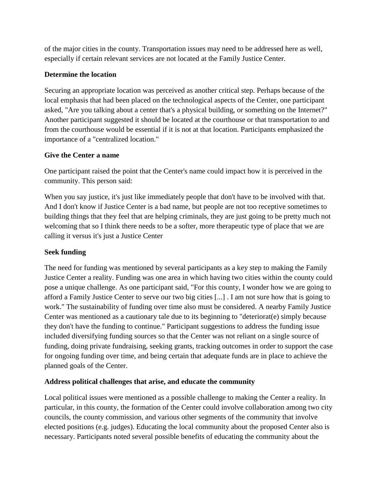of the major cities in the county. Transportation issues may need to be addressed here as well, especially if certain relevant services are not located at the Family Justice Center.

## **Determine the location**

Securing an appropriate location was perceived as another critical step. Perhaps because of the local emphasis that had been placed on the technological aspects of the Center, one participant asked, "Are you talking about a center that's a physical building, or something on the Internet?" Another participant suggested it should be located at the courthouse or that transportation to and from the courthouse would be essential if it is not at that location. Participants emphasized the importance of a "centralized location."

## **Give the Center a name**

One participant raised the point that the Center's name could impact how it is perceived in the community. This person said:

When you say justice, it's just like immediately people that don't have to be involved with that. And I don't know if Justice Center is a bad name, but people are not too receptive sometimes to building things that they feel that are helping criminals, they are just going to be pretty much not welcoming that so I think there needs to be a softer, more therapeutic type of place that we are calling it versus it's just a Justice Center

# **Seek funding**

The need for funding was mentioned by several participants as a key step to making the Family Justice Center a reality. Funding was one area in which having two cities within the county could pose a unique challenge. As one participant said, "For this county, I wonder how we are going to afford a Family Justice Center to serve our two big cities [...] . I am not sure how that is going to work." The sustainability of funding over time also must be considered. A nearby Family Justice Center was mentioned as a cautionary tale due to its beginning to "deteriorat(e) simply because they don't have the funding to continue." Participant suggestions to address the funding issue included diversifying funding sources so that the Center was not reliant on a single source of funding, doing private fundraising, seeking grants, tracking outcomes in order to support the case for ongoing funding over time, and being certain that adequate funds are in place to achieve the planned goals of the Center.

## **Address political challenges that arise, and educate the community**

Local political issues were mentioned as a possible challenge to making the Center a reality. In particular, in this county, the formation of the Center could involve collaboration among two city councils, the county commission, and various other segments of the community that involve elected positions (e.g. judges). Educating the local community about the proposed Center also is necessary. Participants noted several possible benefits of educating the community about the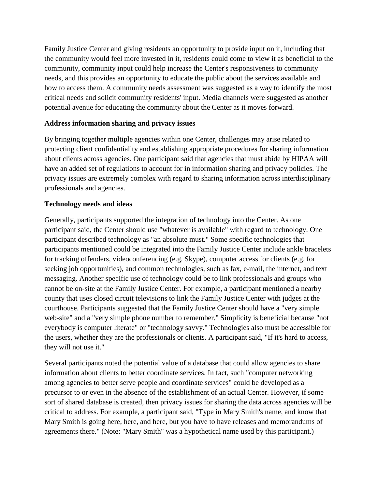Family Justice Center and giving residents an opportunity to provide input on it, including that the community would feel more invested in it, residents could come to view it as beneficial to the community, community input could help increase the Center's responsiveness to community needs, and this provides an opportunity to educate the public about the services available and how to access them. A community needs assessment was suggested as a way to identify the most critical needs and solicit community residents' input. Media channels were suggested as another potential avenue for educating the community about the Center as it moves forward.

#### **Address information sharing and privacy issues**

By bringing together multiple agencies within one Center, challenges may arise related to protecting client confidentiality and establishing appropriate procedures for sharing information about clients across agencies. One participant said that agencies that must abide by HIPAA will have an added set of regulations to account for in information sharing and privacy policies. The privacy issues are extremely complex with regard to sharing information across interdisciplinary professionals and agencies.

#### **Technology needs and ideas**

Generally, participants supported the integration of technology into the Center. As one participant said, the Center should use "whatever is available" with regard to technology. One participant described technology as "an absolute must." Some specific technologies that participants mentioned could be integrated into the Family Justice Center include ankle bracelets for tracking offenders, videoconferencing (e.g. Skype), computer access for clients (e.g. for seeking job opportunities), and common technologies, such as fax, e-mail, the internet, and text messaging. Another specific use of technology could be to link professionals and groups who cannot be on-site at the Family Justice Center. For example, a participant mentioned a nearby county that uses closed circuit televisions to link the Family Justice Center with judges at the courthouse. Participants suggested that the Family Justice Center should have a "very simple web-site" and a "very simple phone number to remember." Simplicity is beneficial because "not everybody is computer literate" or "technology savvy." Technologies also must be accessible for the users, whether they are the professionals or clients. A participant said, "If it's hard to access, they will not use it."

Several participants noted the potential value of a database that could allow agencies to share information about clients to better coordinate services. In fact, such "computer networking among agencies to better serve people and coordinate services" could be developed as a precursor to or even in the absence of the establishment of an actual Center. However, if some sort of shared database is created, then privacy issues for sharing the data across agencies will be critical to address. For example, a participant said, "Type in Mary Smith's name, and know that Mary Smith is going here, here, and here, but you have to have releases and memorandums of agreements there." (Note: "Mary Smith" was a hypothetical name used by this participant.)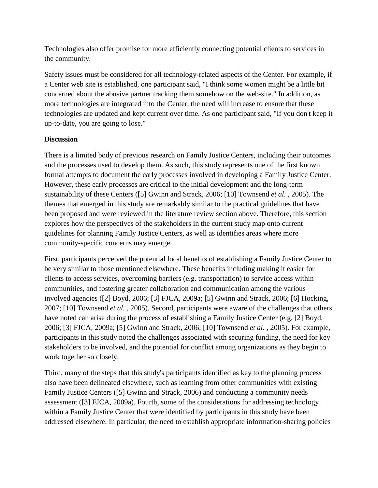Technologies also offer promise for more efficiently connecting potential clients to services in the community.

Safety issues must be considered for all technology-related aspects of the Center. For example, if a Center web site is established, one participant said, "I think some women might be a little bit concerned about the abusive partner tracking them somehow on the web-site." In addition, as more technologies are integrated into the Center, the need will increase to ensure that these technologies are updated and kept current over time. As one participant said, "If you don't keep it up-to-date, you are going to lose."

## **Discussion**

There is a limited body of previous research on Family Justice Centers, including their outcomes and the processes used to develop them. As such, this study represents one of the first known formal attempts to document the early processes involved in developing a Family Justice Center. However, these early processes are critical to the initial development and the long-term sustainability of these Centers ([5] Gwinn and Strack, 2006; [10] Townsend *et al.* , 2005). The themes that emerged in this study are remarkably similar to the practical guidelines that have been proposed and were reviewed in the literature review section above. Therefore, this section explores how the perspectives of the stakeholders in the current study map onto current guidelines for planning Family Justice Centers, as well as identifies areas where more community-specific concerns may emerge.

First, participants perceived the potential local benefits of establishing a Family Justice Center to be very similar to those mentioned elsewhere. These benefits including making it easier for clients to access services, overcoming barriers (e.g. transportation) to service access within communities, and fostering greater collaboration and communication among the various involved agencies ([2] Boyd, 2006; [3] FJCA, 2009a; [5] Gwinn and Strack, 2006; [6] Hocking, 2007; [10] Townsend *et al.* , 2005). Second, participants were aware of the challenges that others have noted can arise during the process of establishing a Family Justice Center (e.g. [2] Boyd, 2006; [3] FJCA, 2009a; [5] Gwinn and Strack, 2006; [10] Townsend *et al.* , 2005). For example, participants in this study noted the challenges associated with securing funding, the need for key stakeholders to be involved, and the potential for conflict among organizations as they begin to work together so closely.

Third, many of the steps that this study's participants identified as key to the planning process also have been delineated elsewhere, such as learning from other communities with existing Family Justice Centers ([5] Gwinn and Strack, 2006) and conducting a community needs assessment ([3] FJCA, 2009a). Fourth, some of the considerations for addressing technology within a Family Justice Center that were identified by participants in this study have been addressed elsewhere. In particular, the need to establish appropriate information-sharing policies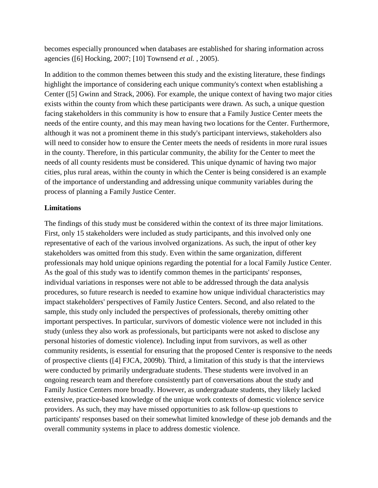becomes especially pronounced when databases are established for sharing information across agencies ([6] Hocking, 2007; [10] Townsend *et al.* , 2005).

In addition to the common themes between this study and the existing literature, these findings highlight the importance of considering each unique community's context when establishing a Center ([5] Gwinn and Strack, 2006). For example, the unique context of having two major cities exists within the county from which these participants were drawn. As such, a unique question facing stakeholders in this community is how to ensure that a Family Justice Center meets the needs of the entire county, and this may mean having two locations for the Center. Furthermore, although it was not a prominent theme in this study's participant interviews, stakeholders also will need to consider how to ensure the Center meets the needs of residents in more rural issues in the county. Therefore, in this particular community, the ability for the Center to meet the needs of all county residents must be considered. This unique dynamic of having two major cities, plus rural areas, within the county in which the Center is being considered is an example of the importance of understanding and addressing unique community variables during the process of planning a Family Justice Center.

#### **Limitations**

The findings of this study must be considered within the context of its three major limitations. First, only 15 stakeholders were included as study participants, and this involved only one representative of each of the various involved organizations. As such, the input of other key stakeholders was omitted from this study. Even within the same organization, different professionals may hold unique opinions regarding the potential for a local Family Justice Center. As the goal of this study was to identify common themes in the participants' responses, individual variations in responses were not able to be addressed through the data analysis procedures, so future research is needed to examine how unique individual characteristics may impact stakeholders' perspectives of Family Justice Centers. Second, and also related to the sample, this study only included the perspectives of professionals, thereby omitting other important perspectives. In particular, survivors of domestic violence were not included in this study (unless they also work as professionals, but participants were not asked to disclose any personal histories of domestic violence). Including input from survivors, as well as other community residents, is essential for ensuring that the proposed Center is responsive to the needs of prospective clients ([4] FJCA, 2009b). Third, a limitation of this study is that the interviews were conducted by primarily undergraduate students. These students were involved in an ongoing research team and therefore consistently part of conversations about the study and Family Justice Centers more broadly. However, as undergraduate students, they likely lacked extensive, practice-based knowledge of the unique work contexts of domestic violence service providers. As such, they may have missed opportunities to ask follow-up questions to participants' responses based on their somewhat limited knowledge of these job demands and the overall community systems in place to address domestic violence.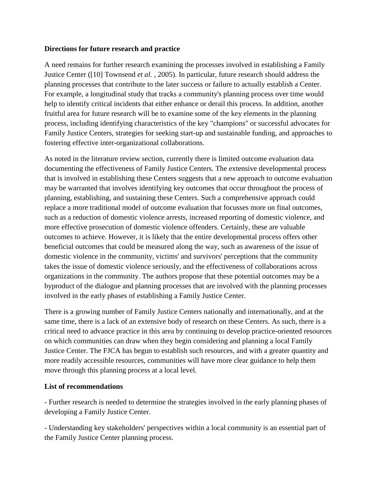#### **Directions for future research and practice**

A need remains for further research examining the processes involved in establishing a Family Justice Center ([10] Townsend *et al.* , 2005). In particular, future research should address the planning processes that contribute to the later success or failure to actually establish a Center. For example, a longitudinal study that tracks a community's planning process over time would help to identify critical incidents that either enhance or derail this process. In addition, another fruitful area for future research will be to examine some of the key elements in the planning process, including identifying characteristics of the key "champions" or successful advocates for Family Justice Centers, strategies for seeking start-up and sustainable funding, and approaches to fostering effective inter-organizational collaborations.

As noted in the literature review section, currently there is limited outcome evaluation data documenting the effectiveness of Family Justice Centers. The extensive developmental process that is involved in establishing these Centers suggests that a new approach to outcome evaluation may be warranted that involves identifying key outcomes that occur throughout the process of planning, establishing, and sustaining these Centers. Such a comprehensive approach could replace a more traditional model of outcome evaluation that focusses more on final outcomes, such as a reduction of domestic violence arrests, increased reporting of domestic violence, and more effective prosecution of domestic violence offenders. Certainly, these are valuable outcomes to achieve. However, it is likely that the entire developmental process offers other beneficial outcomes that could be measured along the way, such as awareness of the issue of domestic violence in the community, victims' and survivors' perceptions that the community takes the issue of domestic violence seriously, and the effectiveness of collaborations across organizations in the community. The authors propose that these potential outcomes may be a byproduct of the dialogue and planning processes that are involved with the planning processes involved in the early phases of establishing a Family Justice Center.

There is a growing number of Family Justice Centers nationally and internationally, and at the same time, there is a lack of an extensive body of research on these Centers. As such, there is a critical need to advance practice in this area by continuing to develop practice-oriented resources on which communities can draw when they begin considering and planning a local Family Justice Center. The FJCA has begun to establish such resources, and with a greater quantity and more readily accessible resources, communities will have more clear guidance to help them move through this planning process at a local level.

## **List of recommendations**

- Further research is needed to determine the strategies involved in the early planning phases of developing a Family Justice Center.

- Understanding key stakeholders' perspectives within a local community is an essential part of the Family Justice Center planning process.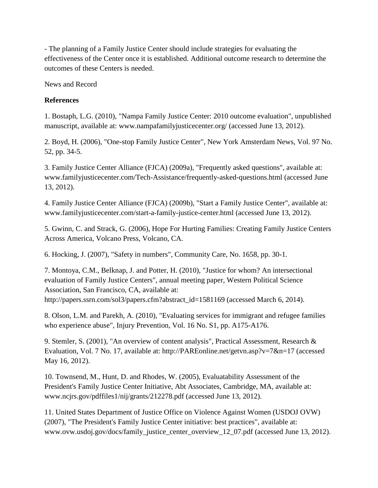- The planning of a Family Justice Center should include strategies for evaluating the effectiveness of the Center once it is established. Additional outcome research to determine the outcomes of these Centers is needed.

News and Record

## **References**

1. Bostaph, L.G. (2010), "Nampa Family Justice Center: 2010 outcome evaluation", unpublished manuscript, available at: www.nampafamilyjusticecenter.org/ (accessed June 13, 2012).

2. Boyd, H. (2006), "One-stop Family Justice Center", New York Amsterdam News, Vol. 97 No. 52, pp. 34-5.

3. Family Justice Center Alliance (FJCA) (2009a), "Frequently asked questions", available at: www.familyjusticecenter.com/Tech-Assistance/frequently-asked-questions.html (accessed June 13, 2012).

4. Family Justice Center Alliance (FJCA) (2009b), "Start a Family Justice Center", available at: www.familyjusticecenter.com/start-a-family-justice-center.html (accessed June 13, 2012).

5. Gwinn, C. and Strack, G. (2006), Hope For Hurting Families: Creating Family Justice Centers Across America, Volcano Press, Volcano, CA.

6. Hocking, J. (2007), "Safety in numbers", Community Care, No. 1658, pp. 30-1.

7. Montoya, C.M., Belknap, J. and Potter, H. (2010), "Justice for whom? An intersectional evaluation of Family Justice Centers", annual meeting paper, Western Political Science Association, San Francisco, CA, available at: http://papers.ssrn.com/sol3/papers.cfm?abstract\_id=1581169 (accessed March 6, 2014).

8. Olson, L.M. and Parekh, A. (2010), "Evaluating services for immigrant and refugee families who experience abuse", Injury Prevention, Vol. 16 No. S1, pp. A175-A176.

9. Stemler, S. (2001), "An overview of content analysis", Practical Assessment, Research & Evaluation, Vol. 7 No. 17, available at: http://PAREonline.net/getvn.asp?v=7&n=17 (accessed May 16, 2012).

10. Townsend, M., Hunt, D. and Rhodes, W. (2005), Evaluatability Assessment of the President's Family Justice Center Initiative, Abt Associates, Cambridge, MA, available at: www.ncjrs.gov/pdffiles1/nij/grants/212278.pdf (accessed June 13, 2012).

11. United States Department of Justice Office on Violence Against Women (USDOJ OVW) (2007), "The President's Family Justice Center initiative: best practices", available at: www.ovw.usdoj.gov/docs/family\_justice\_center\_overview\_12\_07.pdf (accessed June 13, 2012).